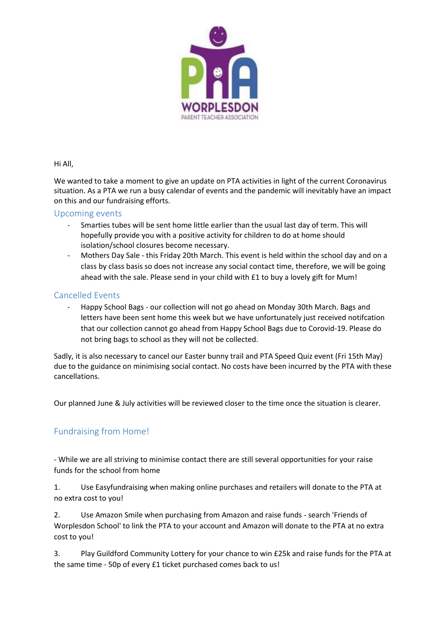

#### Hi All,

We wanted to take a moment to give an update on PTA activities in light of the current Coronavirus situation. As a PTA we run a busy calendar of events and the pandemic will inevitably have an impact on this and our fundraising efforts.

## Upcoming events

- Smarties tubes will be sent home little earlier than the usual last day of term. This will hopefully provide you with a positive activity for children to do at home should isolation/school closures become necessary.
- Mothers Day Sale this Friday 20th March. This event is held within the school day and on a class by class basis so does not increase any social contact time, therefore, we will be going ahead with the sale. Please send in your child with £1 to buy a lovely gift for Mum!

## Cancelled Events

- Happy School Bags - our collection will not go ahead on Monday 30th March. Bags and letters have been sent home this week but we have unfortunately just received notifcation that our collection cannot go ahead from Happy School Bags due to Corovid-19. Please do not bring bags to school as they will not be collected.

Sadly, it is also necessary to cancel our Easter bunny trail and PTA Speed Quiz event (Fri 15th May) due to the guidance on minimising social contact. No costs have been incurred by the PTA with these cancellations.

Our planned June & July activities will be reviewed closer to the time once the situation is clearer.

# Fundraising from Home!

- While we are all striving to minimise contact there are still several opportunities for your raise funds for the school from home

1. Use Easyfundraising when making online purchases and retailers will donate to the PTA at no extra cost to you!

2. Use Amazon Smile when purchasing from Amazon and raise funds - search 'Friends of Worplesdon School' to link the PTA to your account and Amazon will donate to the PTA at no extra cost to you!

3. Play Guildford Community Lottery for your chance to win £25k and raise funds for the PTA at the same time - 50p of every £1 ticket purchased comes back to us!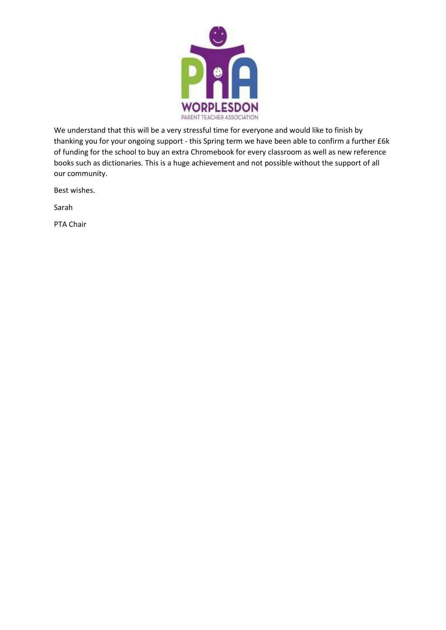

We understand that this will be a very stressful time for everyone and would like to finish by thanking you for your ongoing support - this Spring term we have been able to confirm a further £6k of funding for the school to buy an extra Chromebook for every classroom as well as new reference books such as dictionaries. This is a huge achievement and not possible without the support of all our community.

Best wishes.

Sarah

PTA Chair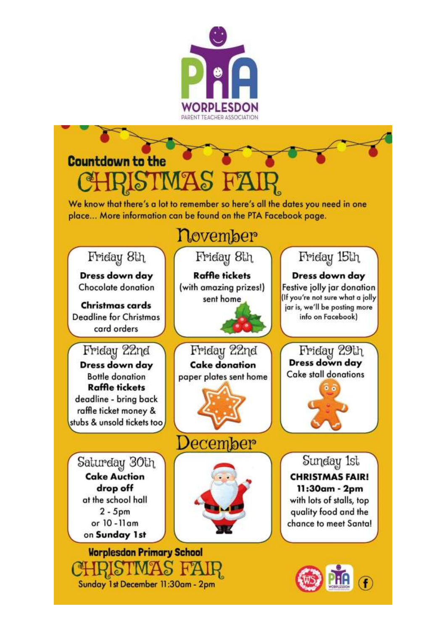

# **Countdown to the**

We know that there's a lot to remember so here's all the dates you need in one place... More information can be found on the PTA Facebook page.

# november